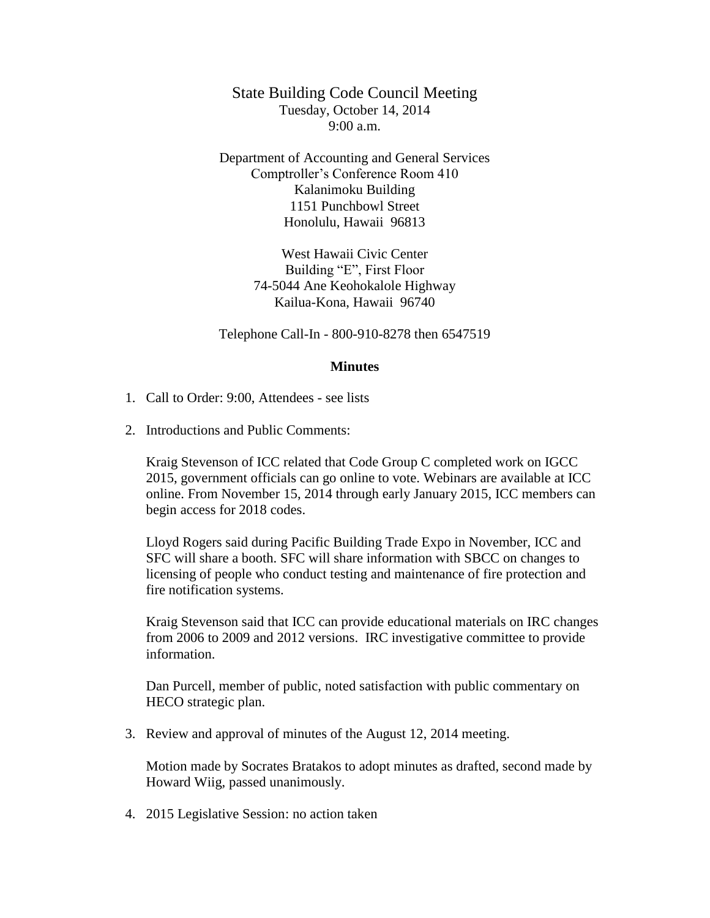State Building Code Council Meeting Tuesday, October 14, 2014 9:00 a.m.

Department of Accounting and General Services Comptroller's Conference Room 410 Kalanimoku Building 1151 Punchbowl Street Honolulu, Hawaii 96813

> West Hawaii Civic Center Building "E", First Floor 74-5044 Ane Keohokalole Highway Kailua-Kona, Hawaii 96740

Telephone Call-In - 800-910-8278 then 6547519

## **Minutes**

- 1. Call to Order: 9:00, Attendees see lists
- 2. Introductions and Public Comments:

Kraig Stevenson of ICC related that Code Group C completed work on IGCC 2015, government officials can go online to vote. Webinars are available at ICC online. From November 15, 2014 through early January 2015, ICC members can begin access for 2018 codes.

Lloyd Rogers said during Pacific Building Trade Expo in November, ICC and SFC will share a booth. SFC will share information with SBCC on changes to licensing of people who conduct testing and maintenance of fire protection and fire notification systems.

Kraig Stevenson said that ICC can provide educational materials on IRC changes from 2006 to 2009 and 2012 versions. IRC investigative committee to provide information.

Dan Purcell, member of public, noted satisfaction with public commentary on HECO strategic plan.

3. Review and approval of minutes of the August 12, 2014 meeting.

Motion made by Socrates Bratakos to adopt minutes as drafted, second made by Howard Wiig, passed unanimously.

4. 2015 Legislative Session: no action taken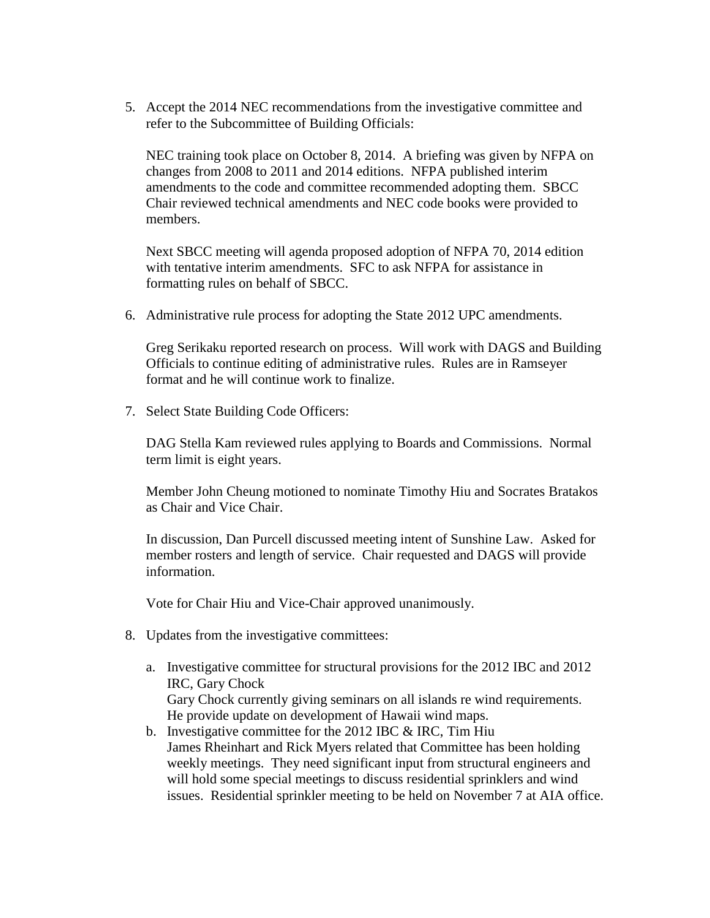5. Accept the 2014 NEC recommendations from the investigative committee and refer to the Subcommittee of Building Officials:

NEC training took place on October 8, 2014. A briefing was given by NFPA on changes from 2008 to 2011 and 2014 editions. NFPA published interim amendments to the code and committee recommended adopting them. SBCC Chair reviewed technical amendments and NEC code books were provided to members.

Next SBCC meeting will agenda proposed adoption of NFPA 70, 2014 edition with tentative interim amendments. SFC to ask NFPA for assistance in formatting rules on behalf of SBCC.

6. Administrative rule process for adopting the State 2012 UPC amendments.

Greg Serikaku reported research on process. Will work with DAGS and Building Officials to continue editing of administrative rules. Rules are in Ramseyer format and he will continue work to finalize.

7. Select State Building Code Officers:

DAG Stella Kam reviewed rules applying to Boards and Commissions. Normal term limit is eight years.

Member John Cheung motioned to nominate Timothy Hiu and Socrates Bratakos as Chair and Vice Chair.

In discussion, Dan Purcell discussed meeting intent of Sunshine Law. Asked for member rosters and length of service. Chair requested and DAGS will provide information.

Vote for Chair Hiu and Vice-Chair approved unanimously.

- 8. Updates from the investigative committees:
	- a. Investigative committee for structural provisions for the 2012 IBC and 2012 IRC, Gary Chock Gary Chock currently giving seminars on all islands re wind requirements. He provide update on development of Hawaii wind maps.
	- b. Investigative committee for the 2012 IBC  $&$  IRC, Tim Hiu James Rheinhart and Rick Myers related that Committee has been holding weekly meetings. They need significant input from structural engineers and will hold some special meetings to discuss residential sprinklers and wind issues. Residential sprinkler meeting to be held on November 7 at AIA office.